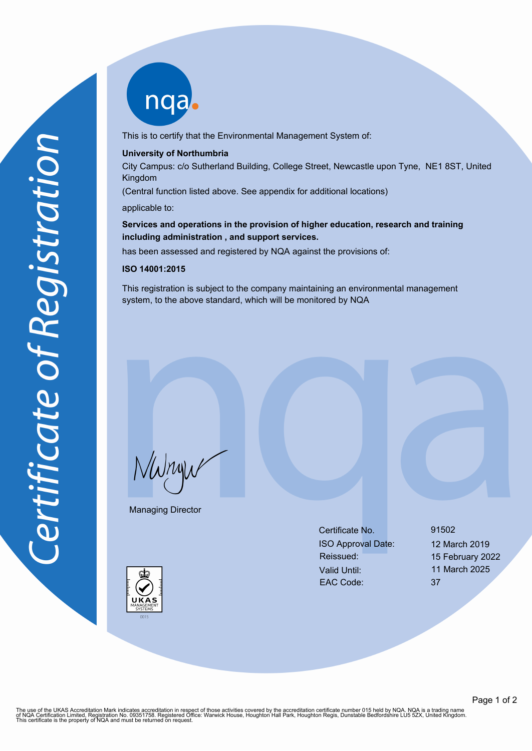nqab

This is to certify that the Environmental Management System of:

## **University of Northumbria**

City Campus: c/o Sutherland Building, College Street, Newcastle upon Tyne, NE1 8ST, United Kingdom

(Central function listed above. See appendix for additional locations)

applicable to:

**Services and operations in the provision of higher education, research and training including administration , and support services.**

has been assessed and registered by NQA against the provisions of:

## **ISO 14001:2015**

This registration is subject to the company maintaining an environmental management system, to the above standard, which will be monitored by NQA

NWnyw

Managing Director

Certificate No. 91502 ISO Approval Date: 12 March 2019 Reissued: 15 February 2022 Valid Until: 11 March 2025 EAC Code: 37



The use of the UKAS Accreditation Mark indicates accreditation in respect of those activities covered by the accreditation certificate number 015 held by NQA. NQA is a trading name<br>of NQA Certification Limited, Registratio